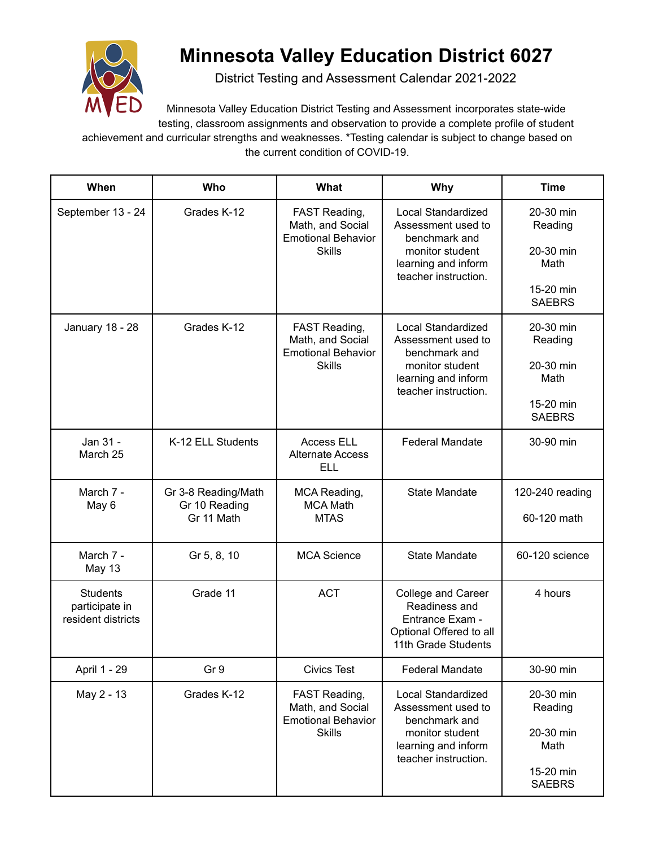

## **Minnesota Valley Education District 6027**

District Testing and Assessment Calendar 2021-2022

Minnesota Valley Education District Testing and Assessment incorporates state-wide testing, classroom assignments and observation to provide a complete profile of student achievement and curricular strengths and weaknesses. \*Testing calendar is subject to change based on the current condition of COVID-19.

| When                                                    | Who                                                | What                                                                            | <b>Why</b>                                                                                                                         | <b>Time</b>                                                             |
|---------------------------------------------------------|----------------------------------------------------|---------------------------------------------------------------------------------|------------------------------------------------------------------------------------------------------------------------------------|-------------------------------------------------------------------------|
| September 13 - 24                                       | Grades K-12                                        | FAST Reading,<br>Math, and Social<br><b>Emotional Behavior</b><br><b>Skills</b> | Local Standardized<br>Assessment used to<br>benchmark and<br>monitor student<br>learning and inform<br>teacher instruction.        | 20-30 min<br>Reading<br>20-30 min<br>Math<br>15-20 min<br><b>SAEBRS</b> |
| January 18 - 28                                         | Grades K-12                                        | FAST Reading,<br>Math, and Social<br><b>Emotional Behavior</b><br><b>Skills</b> | <b>Local Standardized</b><br>Assessment used to<br>benchmark and<br>monitor student<br>learning and inform<br>teacher instruction. | 20-30 min<br>Reading<br>20-30 min<br>Math<br>15-20 min<br><b>SAEBRS</b> |
| Jan 31 -<br>March 25                                    | K-12 ELL Students                                  | <b>Access ELL</b><br><b>Alternate Access</b><br><b>ELL</b>                      | <b>Federal Mandate</b>                                                                                                             | 30-90 min                                                               |
| March 7 -<br>May 6                                      | Gr 3-8 Reading/Math<br>Gr 10 Reading<br>Gr 11 Math | MCA Reading,<br><b>MCA Math</b><br><b>MTAS</b>                                  | <b>State Mandate</b>                                                                                                               | 120-240 reading<br>60-120 math                                          |
| March 7 -<br><b>May 13</b>                              | Gr 5, 8, 10                                        | <b>MCA Science</b>                                                              | <b>State Mandate</b>                                                                                                               | 60-120 science                                                          |
| <b>Students</b><br>participate in<br>resident districts | Grade 11                                           | <b>ACT</b>                                                                      | College and Career<br>Readiness and<br>Entrance Exam -<br>Optional Offered to all<br>11th Grade Students                           | 4 hours                                                                 |
| April 1 - 29                                            | Gr 9                                               | <b>Civics Test</b>                                                              | <b>Federal Mandate</b>                                                                                                             | 30-90 min                                                               |
| May 2 - 13                                              | Grades K-12                                        | FAST Reading,<br>Math, and Social<br><b>Emotional Behavior</b><br><b>Skills</b> | <b>Local Standardized</b><br>Assessment used to<br>benchmark and<br>monitor student<br>learning and inform<br>teacher instruction. | 20-30 min<br>Reading<br>20-30 min<br>Math<br>15-20 min<br><b>SAEBRS</b> |